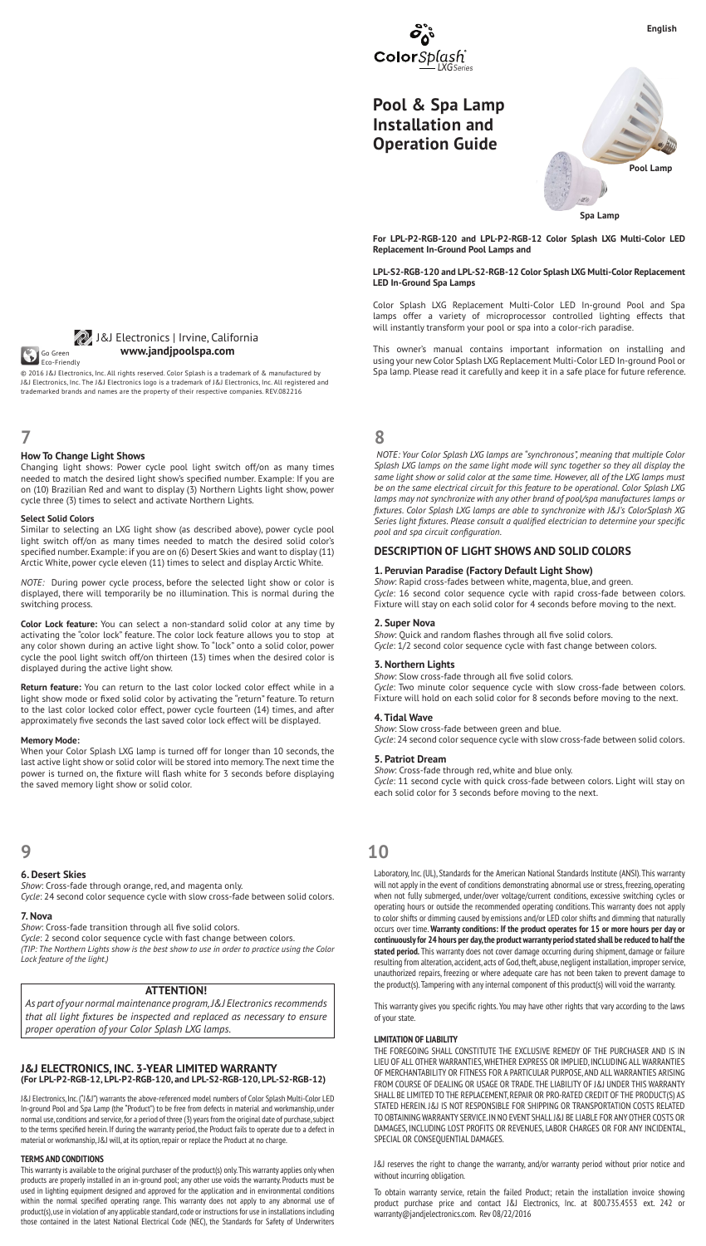

**Pool & Spa Lamp Installation and Operation Guide**

# **Pool Lamp Spa Lamp**

**For LPL-P2-RGB-120 and LPL-P2-RGB-12 Color Splash LXG Multi-Color LED Replacement In-Ground Pool Lamps and**

# **LPL-S2-RGB-120 and LPL-S2-RGB-12 Color Splash LXG Multi-Color Replacement LED In-Ground Spa Lamps**

Color Splash LXG Replacement Multi-Color LED In-ground Pool and Spa lamps offer a variety of microprocessor controlled lighting effects that will instantly transform your pool or spa into a color-rich paradise.

This owner's manual contains important information on installing and using your new Color Splash LXG Replacement Multi-Color LED In-ground Pool or Spa lamp. Please read it carefully and keep it in a safe place for future reference.

*NOTE: Your Color Splash LXG lamps are "synchronous", meaning that multiple Color Splash LXG lamps on the same light mode will sync together so they all display the same light show or solid color at the same time. However, all of the LXG lamps must be on the same electrical circuit for this feature to be operational. Color Splash LXG lamps may not synchronize with any other brand of pool/spa manufactures lamps or fixtures. Color Splash LXG lamps are able to synchronize with J&J's ColorSplash XG Series light fixtures. Please consult a qualified electrician to determine your specific pool and spa circuit configuration.*

# **DESCRIPTION OF LIGHT SHOWS AND SOLID COLORS**

# **1. Peruvian Paradise (Factory Default Light Show)**

*Show*: Rapid cross-fades between white, magenta, blue, and green. *Cycle*: 16 second color sequence cycle with rapid cross-fade between colors. Fixture will stay on each solid color for 4 seconds before moving to the next.

# **2. Super Nova**

*Show*: Quick and random flashes through all five solid colors. *Cycle*: 1/2 second color sequence cycle with fast change between colors.

**3. Northern Lights**

*Show*: Slow cross-fade through all five solid colors. *Cycle*: Two minute color sequence cycle with slow cross-fade between colors. Fixture will hold on each solid color for 8 seconds before moving to the next.

### **4. Tidal Wave**

*Show*: Slow cross-fade between green and blue. *Cycle*: 24 second color sequence cycle with slow cross-fade between solid colors.

### **5. Patriot Dream**

*Show*: Cross-fade through red, white and blue only.

*Cycle*: 11 second cycle with quick cross-fade between colors. Light will stay on each solid color for 3 seconds before moving to the next.

# **9 10**

Laboratory, Inc. (UL), Standards for the American National Standards Institute (ANSI). This warranty will not apply in the event of conditions demonstrating abnormal use or stress, freezing, operating when not fully submerged, under/over voltage/current conditions, excessive switching cycles or operating hours or outside the recommended operating conditions. This warranty does not apply to color shifts or dimming caused by emissions and/or LED color shifts and dimming that naturally occurs over time. **Warranty conditions: If the product operates for 15 or more hours per day or continuously for 24 hours per day, the product warranty period stated shall be reduced to half the stated period.** This warranty does not cover damage occurring during shipment, damage or failure resulting from alteration, accident, acts of God, theft, abuse, negligent installation, improper service, unauthorized repairs, freezing or where adequate care has not been taken to prevent damage to the product(s). Tampering with any internal component of this product(s) will void the warranty.

This warranty gives you specific rights. You may have other rights that vary according to the laws of your state.

# **LIMITATION OF LIABILITY**

THE FOREGOING SHALL CONSTITUTE THE EXCLUSIVE REMEDY OF THE PURCHASER AND IS IN LIEU OF ALL OTHER WARRANTIES, WHETHER EXPRESS OR IMPLIED, INCLUDING ALL WARRANTIES OF MERCHANTABILITY OR FITNESS FOR A PARTICULAR PURPOSE, AND ALL WARRANTIES ARISING FROM COURSE OF DEALING OR USAGE OR TRADE. THE LIABILITY OF J&J UNDER THIS WARRANTY SHALL BE LIMITED TO THE REPLACEMENT, REPAIR OR PRO-RATED CREDIT OF THE PRODUCT(S) AS STATED HEREIN. J&J IS NOT RESPONSIBLE FOR SHIPPING OR TRANSPORTATION COSTS RELATED TO OBTAINING WARRANTY SERVICE. IN NO EVENT SHALL J&J BE LIABLE FOR ANY OTHER COSTS OR DAMAGES, INCLUDING LOST PROFITS OR REVENUES, LABOR CHARGES OR FOR ANY INCIDENTAL, SPECIAL OR CONSEQUENTIAL DAMAGES.

J&J reserves the right to change the warranty, and/or warranty period without prior notice and without incurring obligation.

To obtain warranty service, retain the failed Product; retain the installation invoice showing product purchase price and contact J&J Electronics, Inc. at 800.735.4553 ext. 242 or warranty@jandjelectronics.com. Rev 08/22/2016



© 2016 J&J Electronics, Inc. All rights reserved. Color Splash is a trademark of & manufactured by J&J Electronics, Inc. The J&J Electronics logo is a trademark of J&J Electronics, Inc. All registered and trademarked brands and names are the property of their respective companies. REV.082216 Eco-Friendly

# **7 8**

# **How To Change Light Shows**

Changing light shows: Power cycle pool light switch off/on as many times needed to match the desired light show's specified number. Example: If you are on (10) Brazilian Red and want to display (3) Northern Lights light show, power cycle three (3) times to select and activate Northern Lights.

## **Select Solid Colors**

Similar to selecting an LXG light show (as described above), power cycle pool light switch off/on as many times needed to match the desired solid color's specified number. Example: if you are on (6) Desert Skies and want to display (11) Arctic White, power cycle eleven (11) times to select and display Arctic White.

*NOTE:* During power cycle process, before the selected light show or color is displayed, there will temporarily be no illumination. This is normal during the switching process.

**Color Lock feature:** You can select a non-standard solid color at any time by activating the "color lock" feature. The color lock feature allows you to stop at any color shown during an active light show. To "lock" onto a solid color, power cycle the pool light switch off/on thirteen (13) times when the desired color is displayed during the active light show.

**Return feature:** You can return to the last color locked color effect while in a light show mode or fixed solid color by activating the "return" feature. To return to the last color locked color effect, power cycle fourteen (14) times, and after approximately five seconds the last saved color lock effect will be displayed.

### **Memory Mode:**

When your Color Splash LXG lamp is turned off for longer than 10 seconds, the last active light show or solid color will be stored into memory. The next time the power is turned on, the fixture will flash white for 3 seconds before displaying the saved memory light show or solid color.

### **6. Desert Skies**

*Show*: Cross-fade through orange, red, and magenta only.

*Cycle*: 24 second color sequence cycle with slow cross-fade between solid colors.

# **7. Nova**

*Show*: Cross-fade transition through all five solid colors.

*Cycle*: 2 second color sequence cycle with fast change between colors. *(TIP: The Northern Lights show is the best show to use in order to practice using the Color Lock feature of the light.)*

# **ATTENTION!**

*As part of your normal maintenance program, J&J Electronics recommends that all light fixtures be inspected and replaced as necessary to ensure proper operation of your Color Splash LXG lamps.*

# **J&J ELECTRONICS, INC. 3-YEAR LIMITED WARRANTY (For LPL-P2-RGB-12, LPL-P2-RGB-120, and LPL-S2-RGB-120, LPL-S2-RGB-12)**

J&J Electronics, Inc. ("J&J") warrants the above-referenced model numbers of Color Splash Multi-Color LED In-ground Pool and Spa Lamp (the "Product") to be free from defects in material and workmanship, under normal use, conditions and service, for a period of three (3) years from the original date of purchase, subject to the terms specified herein. If during the warranty period, the Product fails to operate due to a defect in material or workmanship, J&J will, at its option, repair or replace the Product at no charge.

# **TERMS AND CONDITIONS**

This warranty is available to the original purchaser of the product(s) only. This warranty applies only when products are properly installed in an in-ground pool; any other use voids the warranty. Products must be used in lighting equipment designed and approved for the application and in environmental conditions within the normal specified operating range. This warranty does not apply to any abnormal use of product(s), use in violation of any applicable standard, code or instructions for use in installations including those contained in the latest National Electrical Code (NEC), the Standards for Safety of Underwriters